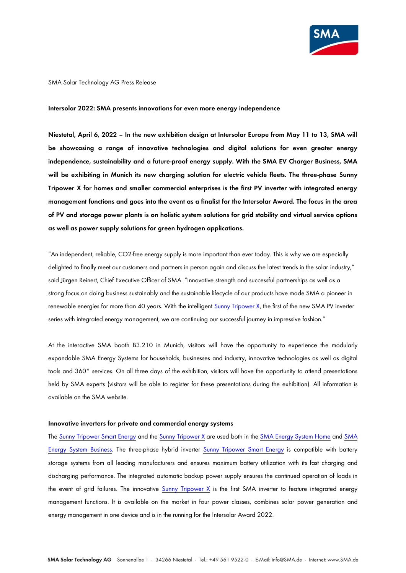

#### SMA Solar Technology AG Press Release

### **Intersolar 2022: SMA presents innovations for even more energy independence**

**Niestetal, April 6, 2022 – In the new exhibition design at Intersolar Europe from May 11 to 13, SMA will be showcasing a range of innovative technologies and digital solutions for even greater energy independence, sustainability and a future-proof energy supply. With the SMA EV Charger Business, SMA will be exhibiting in Munich its new charging solution for electric vehicle fleets. The three-phase Sunny Tripower X for homes and smaller commercial enterprises is the first PV inverter with integrated energy management functions and goes into the event as a finalist for the Intersolar Award. The focus in the area of PV and storage power plants is on holistic system solutions for grid stability and virtual service options as well as power supply solutions for green hydrogen applications.** 

"An independent, reliable, CO2-free energy supply is more important than ever today. This is why we are especially delighted to finally meet our customers and partners in person again and discuss the latest trends in the solar industry," said Jürgen Reinert, Chief Executive Officer of SMA. "Innovative strength and successful partnerships as well as a strong focus on doing business sustainably and the sustainable lifecycle of our products have made SMA a pioneer in renewable energies for more than 40 years. With the intelligent [Sunny Tripower X,](https://www.sma.de/en/products/solarinverters/sunny-tripower-x.html) the first of the new SMA PV inverter series with integrated energy management, we are continuing our successful journey in impressive fashion."

At the interactive SMA booth B3.210 in Munich, visitors will have the opportunity to experience the modularly expandable SMA Energy Systems for households, businesses and industry, innovative technologies as well as digital tools and 360° services. On all three days of the exhibition, visitors will have the opportunity to attend presentations held by SMA experts (visitors will be able to register for these presentations during the exhibition). [All information is](https://www.sma.de/en/intersolar-2022)  [available on the SMA website.](https://www.sma.de/en/intersolar-2022)

#### **Innovative inverters for private and commercial energy systems**

The [Sunny Tripower Smart Energy](https://www.sma.de/en/products/hybrid-inverters/sunny-tripower-smart-energy.html) and th[e Sunny Tripower X](https://www.sma.de/en/products/solarinverters/sunny-tripower-x.html) are used both in the [SMA Energy System Home](https://www.sma.de/en/home/sma-energy-system-home-overview.html) and [SMA](https://www.sma.de/en/business/sma-energy-system-business-overview.html)  [Energy System Business.](https://www.sma.de/en/business/sma-energy-system-business-overview.html) The three-phase hybrid inverter [Sunny Tripower Smart Energy](https://www.sma.de/en/products/hybrid-inverters/sunny-tripower-smart-energy.html) is compatible with battery storage systems from all leading manufacturers and ensures maximum battery utilization with its fast charging and discharging performance. The integrated automatic backup power supply ensures the continued operation of loads in the event of grid failures. The innovative [Sunny Tripower X](https://www.sma.de/en/products/solarinverters/sunny-tripower-x.html) is the first SMA inverter to feature integrated energy management functions. It is available on the market in four power classes, combines solar power generation and energy management in one device and is in the running for the Intersolar Award 2022.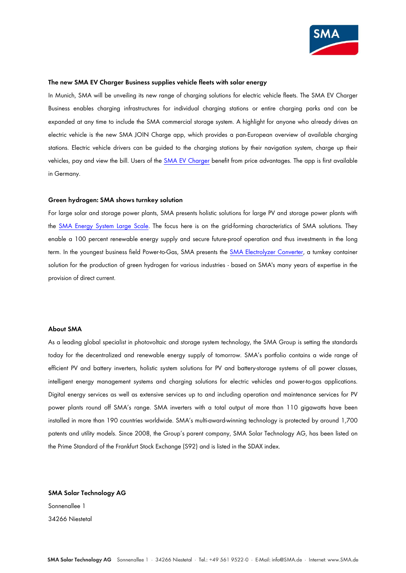

#### **The new SMA EV Charger Business supplies vehicle fleets with solar energy**

In Munich, SMA will be unveiling its new range of charging solutions for electric vehicle fleets. The SMA EV Charger Business enables charging infrastructures for individual charging stations or entire charging parks and can be expanded at any time to include the SMA commercial storage system. A highlight for anyone who already drives an electric vehicle is the new SMA JOIN Charge app, which provides a pan-European overview of available charging stations. Electric vehicle drivers can be guided to the charging stations by their navigation system, charge up their vehicles, pay and view the bill. Users of the [SMA EV Charger](https://www.sma.de/en/products/e-mobility-charging-solutions/sma-ev-charger-74-22.html) benefit from price advantages. The app is first available in Germany.

#### **Green hydrogen: SMA shows turnkey solution**

For large solar and storage power plants, SMA presents holistic solutions for large PV and storage power plants with the [SMA Energy System Large Scale.](https://www.sma.de/en/industrial-systems/sma-energy-system-large-scale.html) The focus here is on the grid-forming characteristics of SMA solutions. They enable a 100 percent renewable energy supply and secure future-proof operation and thus investments in the long term. In the youngest business field Power-to-Gas, SMA presents the [SMA Electrolyzer Converter,](https://www.sma.de/en/industrial-systems/power-conversion-hydrogen-applications.html) a turnkey container solution for the production of green hydrogen for various industries - based on SMA's many years of expertise in the provision of direct current.

# **About SMA**

As a leading global specialist in photovoltaic and storage system technology, the SMA Group is setting the standards today for the decentralized and renewable energy supply of tomorrow. SMA's portfolio contains a wide range of efficient PV and battery inverters, holistic system solutions for PV and battery-storage systems of all power classes, intelligent energy management systems and charging solutions for electric vehicles and power-to-gas applications. Digital energy services as well as extensive services up to and including operation and maintenance services for PV power plants round off SMA's range. SMA inverters with a total output of more than 110 gigawatts have been installed in more than 190 countries worldwide. SMA's multi-award-winning technology is protected by around 1,700 patents and utility models. Since 2008, the Group's parent company, SMA Solar Technology AG, has been listed on the Prime Standard of the Frankfurt Stock Exchange (S92) and is listed in the SDAX index.

**SMA Solar Technology AG**

Sonnenallee 1 34266 Niestetal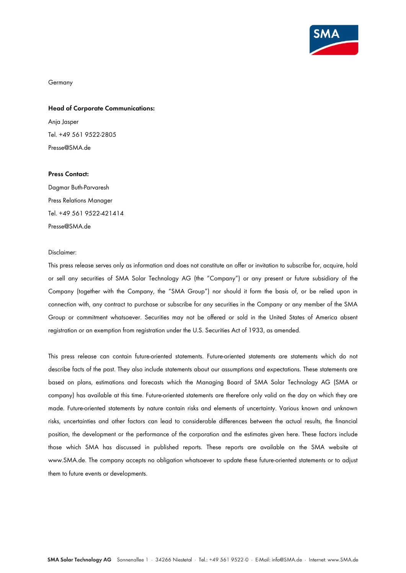

Germany

# **Head of Corporate Communications:**

Anja Jasper Tel. +49 561 9522-2805 Presse@SMA.de

### **Press Contact:**

Dagmar Buth-Parvaresh Press Relations Manager Tel. +49 561 9522-421414 Presse@SMA.de

### Disclaimer:

This press release serves only as information and does not constitute an offer or invitation to subscribe for, acquire, hold or sell any securities of SMA Solar Technology AG (the "Company") or any present or future subsidiary of the Company (together with the Company, the "SMA Group") nor should it form the basis of, or be relied upon in connection with, any contract to purchase or subscribe for any securities in the Company or any member of the SMA Group or commitment whatsoever. Securities may not be offered or sold in the United States of America absent registration or an exemption from registration under the U.S. Securities Act of 1933, as amended.

This press release can contain future-oriented statements. Future-oriented statements are statements which do not describe facts of the past. They also include statements about our assumptions and expectations. These statements are based on plans, estimations and forecasts which the Managing Board of SMA Solar Technology AG (SMA or company) has available at this time. Future-oriented statements are therefore only valid on the day on which they are made. Future-oriented statements by nature contain risks and elements of uncertainty. Various known and unknown risks, uncertainties and other factors can lead to considerable differences between the actual results, the financial position, the development or the performance of the corporation and the estimates given here. These factors include those which SMA has discussed in published reports. These reports are available on the SMA website at www.SMA.de. The company accepts no obligation whatsoever to update these future-oriented statements or to adjust them to future events or developments.